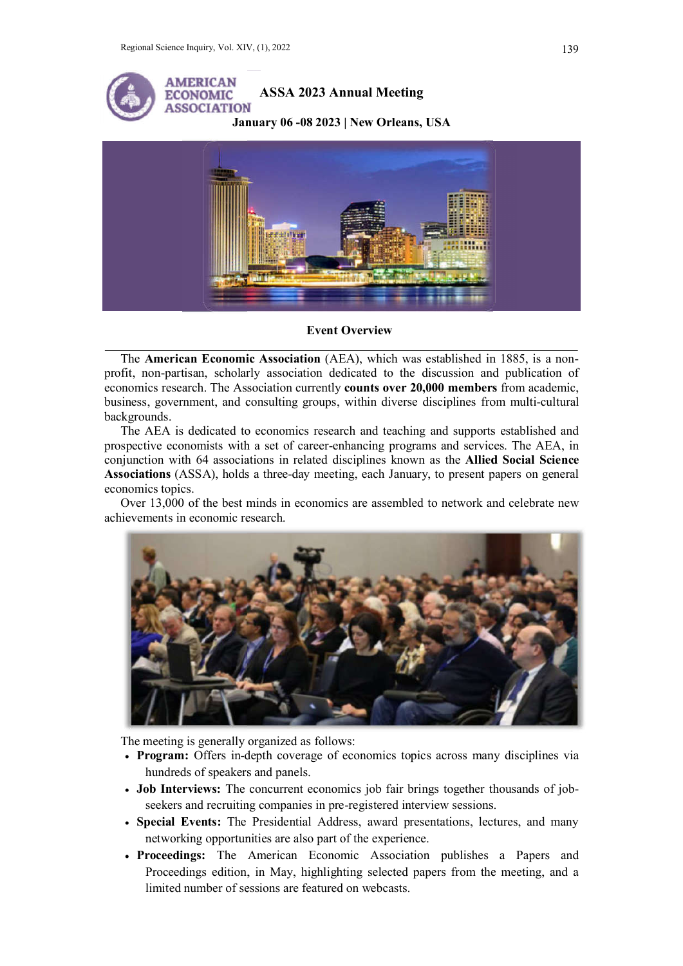

**Event Overview** 

The American Economic Association (AEA), which was established in 1885, is a nonprofit, non-partisan, scholarly association dedicated to the discussion and publication of profit, non-partisan, scholarly association dedicated to the discussion and publication of economics research. The Association currently **counts over 20,000 members** from academic, business, government, and consulting groups, within diverse disciplines from multi-cultural backgrounds.

The AEA is dedicated to economics research and teaching and supports established and prospective economists with a set of career-enhancing programs and services. The AEA, in conjunction with 64 associations in related disciplines known as the Allied Social Science Associations (ASSA), holds a three-day meeting, each January, to present papers on general economics topics.

Over 13,000 of the best minds in economics are assembled to network and celebrate new achievements in economic research.



The meeting is generally organized as follows:

- Program: Offers in-depth coverage of economics topics across many disciplines via hundreds of speakers and panels. • Program: Offers in-depth coverage of economics topics across many disciplines via<br>hundreds of speakers and panels.<br>• Job Interviews: The concurrent economics job fair brings together thousands of job-
- rogram: Offers in-depth coverage of economics topics across many<br>hundreds of speakers and panels.<br>bb Interviews: The concurrent economics job fair brings together th<br>seekers and recruiting companies in pre-registered inter
- · Special Events: The Presidential Address, award presentations, lectures, and many networking opportunities are also part of the experience. • Special Events: The Presidential Address, award presentations, lectures, and many networking opportunities are also part of the experience.<br>• Proceedings: The American Economic Association publishes a Papers and
- Proceedings edition, in May, highlighting selected papers from the meeting, and a limited number of sessions are featured on webcasts.